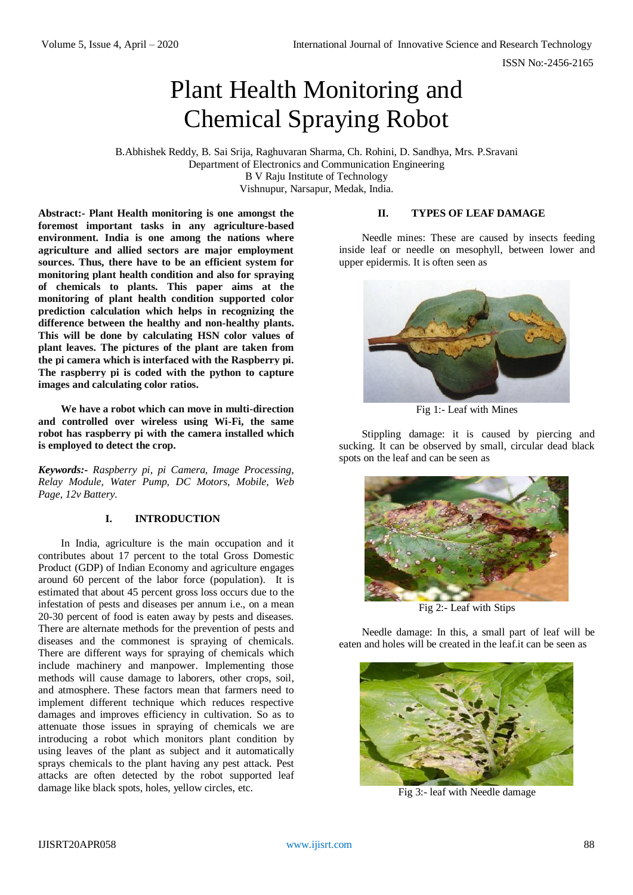ISSN No:-2456-2165

# Plant Health Monitoring and Chemical Spraying Robot

B.Abhishek Reddy, B. Sai Srija, Raghuvaran Sharma, Ch. Rohini, D. Sandhya, Mrs. P.Sravani Department of Electronics and Communication Engineering B V Raju Institute of Technology Vishnupur, Narsapur, Medak, India.

**Abstract:- Plant Health monitoring is one amongst the foremost important tasks in any agriculture-based environment. India is one among the nations where agriculture and allied sectors are major employment sources. Thus, there have to be an efficient system for monitoring plant health condition and also for spraying of chemicals to plants. This paper aims at the monitoring of plant health condition supported color prediction calculation which helps in recognizing the difference between the healthy and non-healthy plants. This will be done by calculating HSN color values of plant leaves. The pictures of the plant are taken from the pi camera which is interfaced with the Raspberry pi. The raspberry pi is coded with the python to capture images and calculating color ratios.**

**We have a robot which can move in multi-direction and controlled over wireless using Wi-Fi, the same robot has raspberry pi with the camera installed which is employed to detect the crop.**

*Keywords:- Raspberry pi, pi Camera, Image Processing, Relay Module, Water Pump, DC Motors, Mobile, Web Page, 12v Battery.*

#### **I. INTRODUCTION**

In India, agriculture is the main occupation and it contributes about 17 percent to the total Gross Domestic Product (GDP) of Indian Economy and agriculture engages around 60 percent of the labor force (population). It is estimated that about 45 percent gross loss occurs due to the infestation of pests and diseases per annum i.e., on a mean 20-30 percent of food is eaten away by pests and diseases. There are alternate methods for the prevention of pests and diseases and the commonest is spraying of chemicals. There are different ways for spraying of chemicals which include machinery and manpower. Implementing those methods will cause damage to laborers, other crops, soil, and atmosphere. These factors mean that farmers need to implement different technique which reduces respective damages and improves efficiency in cultivation. So as to attenuate those issues in spraying of chemicals we are introducing a robot which monitors plant condition by using leaves of the plant as subject and it automatically sprays chemicals to the plant having any pest attack. Pest attacks are often detected by the robot supported leaf damage like black spots, holes, yellow circles, etc.

#### **II. TYPES OF LEAF DAMAGE**

Needle mines: These are caused by insects feeding inside leaf or needle on mesophyll, between lower and upper epidermis. It is often seen as



Fig 1:- Leaf with Mines

Stippling damage: it is caused by piercing and sucking. It can be observed by small, circular dead black spots on the leaf and can be seen as



Fig 2:- Leaf with Stips

Needle damage: In this, a small part of leaf will be eaten and holes will be created in the leaf.it can be seen as



Fig 3:- leaf with Needle damage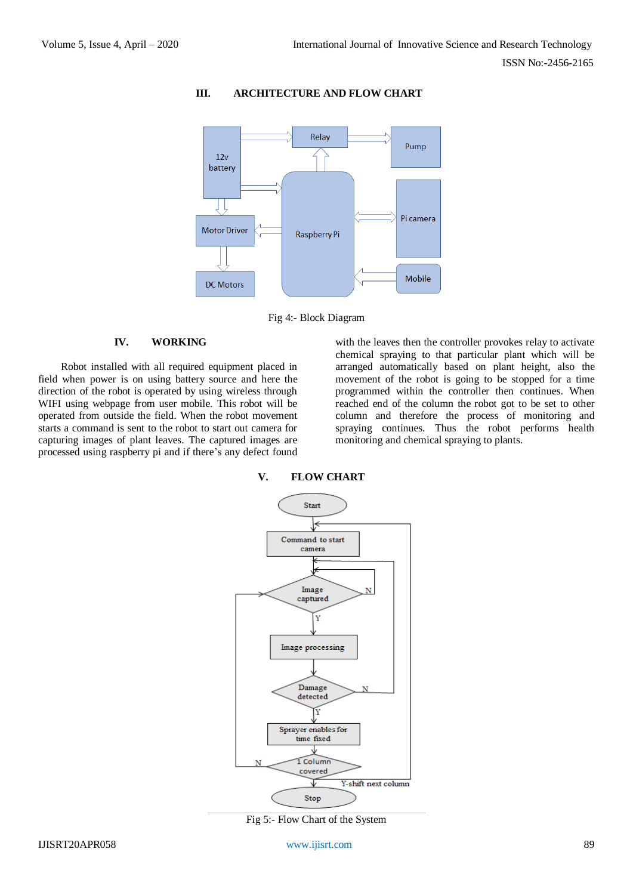

# **III. ARCHITECTURE AND FLOW CHART**

Fig 4:- Block Diagram

**V. FLOW CHART**

# **IV. WORKING**

Robot installed with all required equipment placed in field when power is on using battery source and here the direction of the robot is operated by using wireless through WIFI using webpage from user mobile. This robot will be operated from outside the field. When the robot movement starts a command is sent to the robot to start out camera for capturing images of plant leaves. The captured images are processed using raspberry pi and if there's any defect found

with the leaves then the controller provokes relay to activate chemical spraying to that particular plant which will be arranged automatically based on plant height, also the movement of the robot is going to be stopped for a time programmed within the controller then continues. When reached end of the column the robot got to be set to other column and therefore the process of monitoring and spraying continues. Thus the robot performs health monitoring and chemical spraying to plants.



Fig 5:- Flow Chart of the System